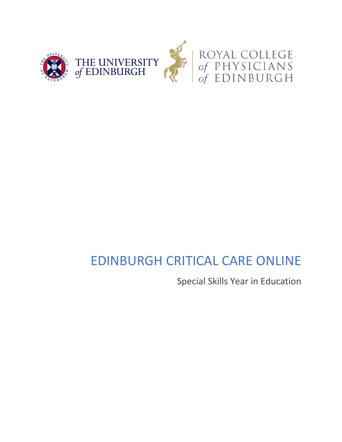

# EDINBURGH CRITICAL CARE ONLINE

Special Skills Year in Education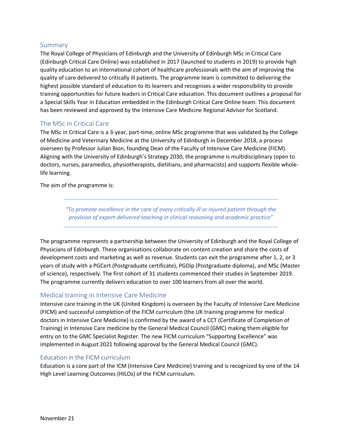# Summary

The Royal College of Physicians of Edinburgh and the University of Edinburgh MSc in Critical Care (Edinburgh Critical Care Online) was established in 2017 (launched to students in 2019) to provide high quality education to an international cohort of healthcare professionals with the aim of improving the quality of care delivered to critically ill patients. The programme team is committed to delivering the highest possible standard of education to its learners and recognises a wider responsibility to provide training opportunities for future leaders in Critical Care education. This document outlines a proposal for a Special Skills Year in Education embedded in the Edinburgh Critical Care Online team. This document has been reviewed and approved by the Intensive Care Medicine Regional Advisor for Scotland.

# The MSc in Critical Care

The MSc in Critical Care is a 3-year, part-time, online MSc programme that was validated by the College of Medicine and Veterinary Medicine at the University of Edinburgh in December 2018, a process overseen by Professor Julian Bion, founding Dean of the Faculty of Intensive Care Medicine (FICM). Aligning with the University of Edinburgh's Strategy 2030, the programme is multidisciplinary (open to doctors, nurses, paramedics, physiotherapists, dietitians, and pharmacists) and supports flexible wholelife learning.

The aim of the programme is:

*"To promote excellence in the care of every critically ill or injured patient through the provision of expert-delivered teaching in clinical reasoning and academic practice"*

The programme represents a partnership between the University of Edinburgh and the Royal College of Physicians of Edinburgh. These organisations collaborate on content creation and share the costs of development costs and marketing as well as revenue. Students can exit the programme after 1, 2, or 3 years of study with a PGCert (Postgraduate certificate), PGDip (Postgraduate diploma), and MSc (Master of science), respectively. The first cohort of 31 students commenced their studies in September 2019. The programme currently delivers education to over 100 learners from all over the world.

# Medical training in Intensive Care Medicine

Intensive care training in the UK (United Kingdom) is overseen by the Faculty of Intensive Care Medicine (FICM) and successful completion of the FICM curriculum (the UK training programme for medical doctors in Intensive Care Medicine) is confirmed by the award of a CCT (Certificate of Completion of Training) in Intensive Care medicine by the General Medical Council (GMC) making them eligible for entry on to the GMC Specialist Register. The new FICM curriculum "Supporting Excellence" was implemented in August 2021 following approval by the General Medical Council (GMC).

# Education in the FICM curriculum

Education is a core part of the ICM (Intensive Care Medicine) training and is recognized by one of the 14 High Level Learning Outcomes (HILOs) of the FICM curriculum.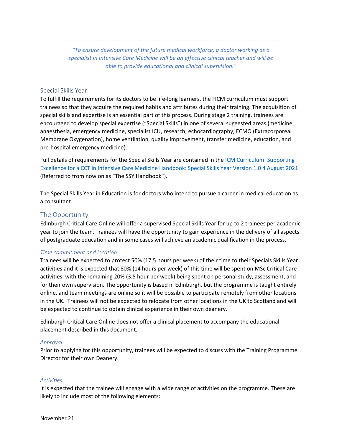*"To ensure development of the future medical workforce, a doctor working as a specialist in Intensive Care Medicine will be an effective clinical teacher and will be able to provide educational and clinical supervision."*

## Special Skills Year

To fulfill the requirements for its doctors to be life-long learners, the FICM curriculum must support trainees so that they acquire the required habits and attributes during their training. The acquisition of special skills and expertise is an essential part of this process. During stage 2 training, trainees are encouraged to develop special expertise ("Special Skills") in one of several suggested areas (medicine, anaesthesia, emergency medicine, specialist ICU, research, echocardiography, ECMO (Extracorporeal Membrane Oxygenation), home ventilation, quality improvement, transfer medicine, education, and pre-hospital emergency medicine).

Full details of requirements for the Special Skills Year are contained in the ICM Curriculum: Supporting Excellence for a CCT in Intensive Care Medicine Handbook: Special Skills Year Version 1.0 4 August 2021 (Referred to from now on as "The SSY Handbook").

The Special Skills Year in Education is for doctors who intend to pursue a career in medical education as a consultant.

## The Opportunity

Edinburgh Critical Care Online will offer a supervised Special Skills Year for up to 2 trainees per academic year to join the team. Trainees will have the opportunity to gain experience in the delivery of all aspects of postgraduate education and in some cases will achieve an academic qualification in the process.

#### *Time commitment and location*

Trainees will be expected to protect 50% (17.5 hours per week) of their time to their Specials Skills Year activities and it is expected that 80% (14 hours per week) of this time will be spent on MSc Critical Care activities, with the remaining 20% (3.5 hour per week) being spent on personal study, assessment, and for their own supervision. The opportunity is based in Edinburgh, but the programme is taught entirely online, and team meetings are online so it will be possible to participate remotely from other locations in the UK. Trainees will not be expected to relocate from other locations in the UK to Scotland and will be expected to continue to obtain clinical experience in their own deanery.

Edinburgh Critical Care Online does not offer a clinical placement to accompany the educational placement described in this document.

#### *Approval*

Prior to applying for this opportunity, trainees will be expected to discuss with the Training Programme Director for their own Deanery.

#### *Activities*

It is expected that the trainee will engage with a wide range of activities on the programme. These are likely to include most of the following elements: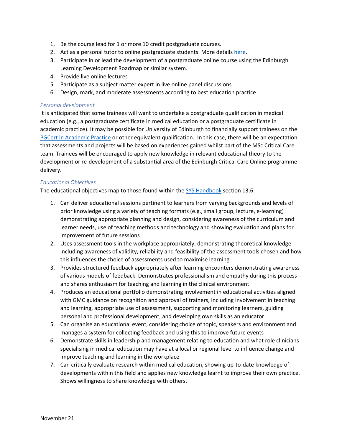- 1. Be the course lead for 1 or more 10 credit postgraduate courses.
- 2. Act as a personal tutor to online postgraduate students. More details here.
- 3. Participate in or lead the development of a postgraduate online course using the Edinburgh Learning Development Roadmap or similar system.
- 4. Provide live online lectures
- 5. Participate as a subject matter expert in live online panel discussions
- 6. Design, mark, and moderate assessments according to best education practice

### *Personal development*

It is anticipated that some trainees will want to undertake a postgraduate qualification in medical education (e.g., a postgraduate certificate in medical education or a postgraduate certificate in academic practice). It may be possible for University of Edinburgh to financially support trainees on the PGCert in Academic Practice or other equivalent qualification. In this case, there will be an expectation that assessments and projects will be based on experiences gained whilst part of the MSc Critical Care team. Trainees will be encouraged to apply new knowledge in relevant educational theory to the development or re-development of a substantial area of the Edinburgh Critical Care Online programme delivery.

## *Educational Objectives*

The educational objectives map to those found within the SYS Handbook section 13.6:

- 1. Can deliver educational sessions pertinent to learners from varying backgrounds and levels of prior knowledge using a variety of teaching formats (e.g., small group, lecture, e-learning) demonstrating appropriate planning and design, considering awareness of the curriculum and learner needs, use of teaching methods and technology and showing evaluation and plans for improvement of future sessions
- 2. Uses assessment tools in the workplace appropriately, demonstrating theoretical knowledge including awareness of validity, reliability and feasibility of the assessment tools chosen and how this influences the choice of assessments used to maximise learning
- 3. Provides structured feedback appropriately after learning encounters demonstrating awareness of various models of feedback. Demonstrates professionalism and empathy during this process and shares enthusiasm for teaching and learning in the clinical environment
- 4. Produces an educational portfolio demonstrating involvement in educational activities aligned with GMC guidance on recognition and approval of trainers, including involvement in teaching and learning, appropriate use of assessment, supporting and monitoring learners, guiding personal and professional development, and developing own skills as an educator
- 5. Can organise an educational event, considering choice of topic, speakers and environment and manages a system for collecting feedback and using this to improve future events
- 6. Demonstrate skills in leadership and management relating to education and what role clinicians specialising in medical education may have at a local or regional level to influence change and improve teaching and learning in the workplace
- 7. Can critically evaluate research within medical education, showing up-to-date knowledge of developments within this field and applies new knowledge learnt to improve their own practice. Shows willingness to share knowledge with others.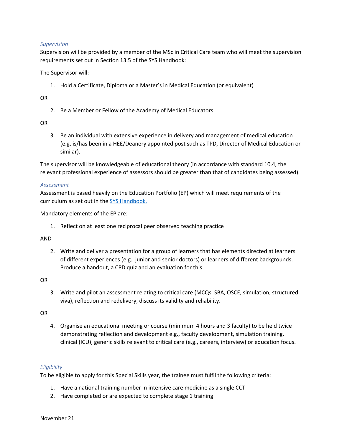### *Supervision*

Supervision will be provided by a member of the MSc in Critical Care team who will meet the supervision requirements set out in Section 13.5 of the SYS Handbook:

The Supervisor will:

1. Hold a Certificate, Diploma or a Master's in Medical Education (or equivalent)

OR

2. Be a Member or Fellow of the Academy of Medical Educators

OR

3. Be an individual with extensive experience in delivery and management of medical education (e.g. is/has been in a HEE/Deanery appointed post such as TPD, Director of Medical Education or similar).

The supervisor will be knowledgeable of educational theory (in accordance with standard 10.4, the relevant professional experience of assessors should be greater than that of candidates being assessed).

#### *Assessment*

Assessment is based heavily on the Education Portfolio (EP) which will meet requirements of the curriculum as set out in the SYS Handbook.

Mandatory elements of the EP are:

1. Reflect on at least one reciprocal peer observed teaching practice

#### AND

2. Write and deliver a presentation for a group of learners that has elements directed at learners of different experiences (e.g., junior and senior doctors) or learners of different backgrounds. Produce a handout, a CPD quiz and an evaluation for this.

OR

3. Write and pilot an assessment relating to critical care (MCQs, SBA, OSCE, simulation, structured viva), reflection and redelivery, discuss its validity and reliability.

OR

4. Organise an educational meeting or course (minimum 4 hours and 3 faculty) to be held twice demonstrating reflection and development e.g., faculty development, simulation training, clinical (ICU), generic skills relevant to critical care (e.g., careers, interview) or education focus.

## *Eligibility*

To be eligible to apply for this Special Skills year, the trainee must fulfil the following criteria:

- 1. Have a national training number in intensive care medicine as a single CCT
- 2. Have completed or are expected to complete stage 1 training